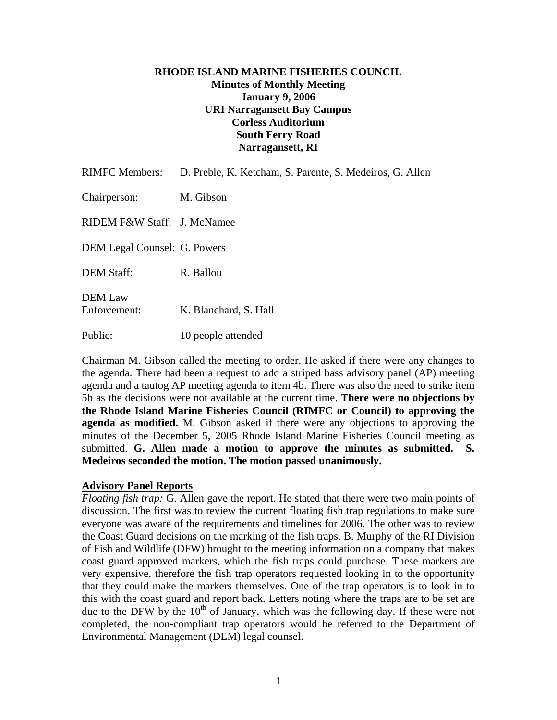# **RHODE ISLAND MARINE FISHERIES COUNCIL Minutes of Monthly Meeting January 9, 2006 URI Narragansett Bay Campus Corless Auditorium South Ferry Road Narragansett, RI**

| <b>RIMFC Members:</b>          | D. Preble, K. Ketcham, S. Parente, S. Medeiros, G. Allen |
|--------------------------------|----------------------------------------------------------|
| Chairperson:                   | M. Gibson                                                |
| RIDEM F&W Staff: J. McNamee    |                                                          |
| DEM Legal Counsel: G. Powers   |                                                          |
| <b>DEM Staff:</b>              | R. Ballou                                                |
| <b>DEM</b> Law<br>Enforcement: | K. Blanchard, S. Hall                                    |
| Public:                        | 10 people attended                                       |

Chairman M. Gibson called the meeting to order. He asked if there were any changes to the agenda. There had been a request to add a striped bass advisory panel (AP) meeting agenda and a tautog AP meeting agenda to item 4b. There was also the need to strike item 5b as the decisions were not available at the current time. **There were no objections by the Rhode Island Marine Fisheries Council (RIMFC or Council) to approving the agenda as modified.** M. Gibson asked if there were any objections to approving the minutes of the December 5, 2005 Rhode Island Marine Fisheries Council meeting as submitted. **G. Allen made a motion to approve the minutes as submitted. S. Medeiros seconded the motion. The motion passed unanimously.** 

## **Advisory Panel Reports**

*Floating fish trap:* G. Allen gave the report. He stated that there were two main points of discussion. The first was to review the current floating fish trap regulations to make sure everyone was aware of the requirements and timelines for 2006. The other was to review the Coast Guard decisions on the marking of the fish traps. B. Murphy of the RI Division of Fish and Wildlife (DFW) brought to the meeting information on a company that makes coast guard approved markers, which the fish traps could purchase. These markers are very expensive, therefore the fish trap operators requested looking in to the opportunity that they could make the markers themselves. One of the trap operators is to look in to this with the coast guard and report back. Letters noting where the traps are to be set are due to the DFW by the  $10<sup>th</sup>$  of January, which was the following day. If these were not completed, the non-compliant trap operators would be referred to the Department of Environmental Management (DEM) legal counsel.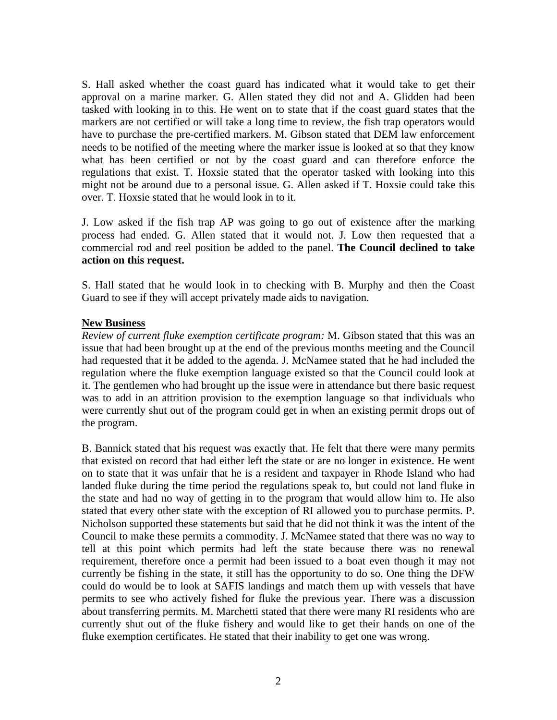S. Hall asked whether the coast guard has indicated what it would take to get their approval on a marine marker. G. Allen stated they did not and A. Glidden had been tasked with looking in to this. He went on to state that if the coast guard states that the markers are not certified or will take a long time to review, the fish trap operators would have to purchase the pre-certified markers. M. Gibson stated that DEM law enforcement needs to be notified of the meeting where the marker issue is looked at so that they know what has been certified or not by the coast guard and can therefore enforce the regulations that exist. T. Hoxsie stated that the operator tasked with looking into this might not be around due to a personal issue. G. Allen asked if T. Hoxsie could take this over. T. Hoxsie stated that he would look in to it.

J. Low asked if the fish trap AP was going to go out of existence after the marking process had ended. G. Allen stated that it would not. J. Low then requested that a commercial rod and reel position be added to the panel. **The Council declined to take action on this request.**

S. Hall stated that he would look in to checking with B. Murphy and then the Coast Guard to see if they will accept privately made aids to navigation.

## **New Business**

*Review of current fluke exemption certificate program:* M. Gibson stated that this was an issue that had been brought up at the end of the previous months meeting and the Council had requested that it be added to the agenda. J. McNamee stated that he had included the regulation where the fluke exemption language existed so that the Council could look at it. The gentlemen who had brought up the issue were in attendance but there basic request was to add in an attrition provision to the exemption language so that individuals who were currently shut out of the program could get in when an existing permit drops out of the program.

B. Bannick stated that his request was exactly that. He felt that there were many permits that existed on record that had either left the state or are no longer in existence. He went on to state that it was unfair that he is a resident and taxpayer in Rhode Island who had landed fluke during the time period the regulations speak to, but could not land fluke in the state and had no way of getting in to the program that would allow him to. He also stated that every other state with the exception of RI allowed you to purchase permits. P. Nicholson supported these statements but said that he did not think it was the intent of the Council to make these permits a commodity. J. McNamee stated that there was no way to tell at this point which permits had left the state because there was no renewal requirement, therefore once a permit had been issued to a boat even though it may not currently be fishing in the state, it still has the opportunity to do so. One thing the DFW could do would be to look at SAFIS landings and match them up with vessels that have permits to see who actively fished for fluke the previous year. There was a discussion about transferring permits. M. Marchetti stated that there were many RI residents who are currently shut out of the fluke fishery and would like to get their hands on one of the fluke exemption certificates. He stated that their inability to get one was wrong.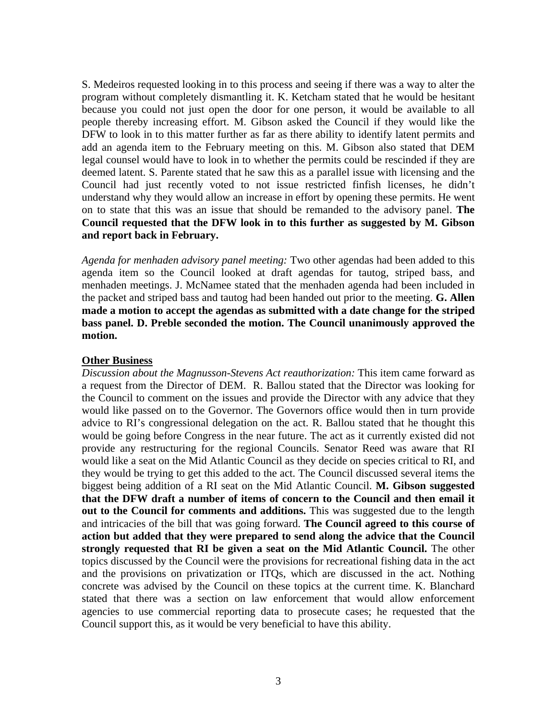S. Medeiros requested looking in to this process and seeing if there was a way to alter the program without completely dismantling it. K. Ketcham stated that he would be hesitant because you could not just open the door for one person, it would be available to all people thereby increasing effort. M. Gibson asked the Council if they would like the DFW to look in to this matter further as far as there ability to identify latent permits and add an agenda item to the February meeting on this. M. Gibson also stated that DEM legal counsel would have to look in to whether the permits could be rescinded if they are deemed latent. S. Parente stated that he saw this as a parallel issue with licensing and the Council had just recently voted to not issue restricted finfish licenses, he didn't understand why they would allow an increase in effort by opening these permits. He went on to state that this was an issue that should be remanded to the advisory panel. **The Council requested that the DFW look in to this further as suggested by M. Gibson and report back in February.**

*Agenda for menhaden advisory panel meeting:* Two other agendas had been added to this agenda item so the Council looked at draft agendas for tautog, striped bass, and menhaden meetings. J. McNamee stated that the menhaden agenda had been included in the packet and striped bass and tautog had been handed out prior to the meeting. **G. Allen made a motion to accept the agendas as submitted with a date change for the striped bass panel. D. Preble seconded the motion. The Council unanimously approved the motion.** 

#### **Other Business**

*Discussion about the Magnusson-Stevens Act reauthorization:* This item came forward as a request from the Director of DEM. R. Ballou stated that the Director was looking for the Council to comment on the issues and provide the Director with any advice that they would like passed on to the Governor. The Governors office would then in turn provide advice to RI's congressional delegation on the act. R. Ballou stated that he thought this would be going before Congress in the near future. The act as it currently existed did not provide any restructuring for the regional Councils. Senator Reed was aware that RI would like a seat on the Mid Atlantic Council as they decide on species critical to RI, and they would be trying to get this added to the act. The Council discussed several items the biggest being addition of a RI seat on the Mid Atlantic Council. **M. Gibson suggested that the DFW draft a number of items of concern to the Council and then email it out to the Council for comments and additions.** This was suggested due to the length and intricacies of the bill that was going forward. **The Council agreed to this course of action but added that they were prepared to send along the advice that the Council strongly requested that RI be given a seat on the Mid Atlantic Council.** The other topics discussed by the Council were the provisions for recreational fishing data in the act and the provisions on privatization or ITQs, which are discussed in the act. Nothing concrete was advised by the Council on these topics at the current time. K. Blanchard stated that there was a section on law enforcement that would allow enforcement agencies to use commercial reporting data to prosecute cases; he requested that the Council support this, as it would be very beneficial to have this ability.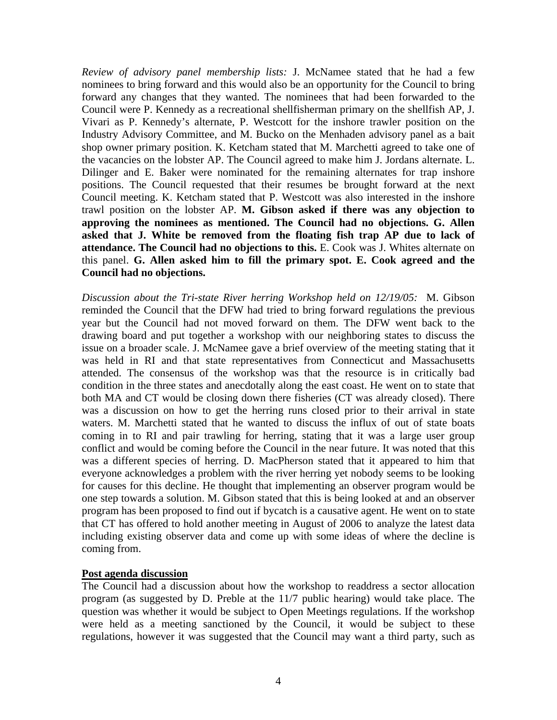*Review of advisory panel membership lists:* J. McNamee stated that he had a few nominees to bring forward and this would also be an opportunity for the Council to bring forward any changes that they wanted. The nominees that had been forwarded to the Council were P. Kennedy as a recreational shellfisherman primary on the shellfish AP, J. Vivari as P. Kennedy's alternate, P. Westcott for the inshore trawler position on the Industry Advisory Committee, and M. Bucko on the Menhaden advisory panel as a bait shop owner primary position. K. Ketcham stated that M. Marchetti agreed to take one of the vacancies on the lobster AP. The Council agreed to make him J. Jordans alternate. L. Dilinger and E. Baker were nominated for the remaining alternates for trap inshore positions. The Council requested that their resumes be brought forward at the next Council meeting. K. Ketcham stated that P. Westcott was also interested in the inshore trawl position on the lobster AP. **M. Gibson asked if there was any objection to approving the nominees as mentioned. The Council had no objections. G. Allen asked that J. White be removed from the floating fish trap AP due to lack of attendance. The Council had no objections to this.** E. Cook was J. Whites alternate on this panel. **G. Allen asked him to fill the primary spot. E. Cook agreed and the Council had no objections.**

*Discussion about the Tri-state River herring Workshop held on 12/19/05:* M. Gibson reminded the Council that the DFW had tried to bring forward regulations the previous year but the Council had not moved forward on them. The DFW went back to the drawing board and put together a workshop with our neighboring states to discuss the issue on a broader scale. J. McNamee gave a brief overview of the meeting stating that it was held in RI and that state representatives from Connecticut and Massachusetts attended. The consensus of the workshop was that the resource is in critically bad condition in the three states and anecdotally along the east coast. He went on to state that both MA and CT would be closing down there fisheries (CT was already closed). There was a discussion on how to get the herring runs closed prior to their arrival in state waters. M. Marchetti stated that he wanted to discuss the influx of out of state boats coming in to RI and pair trawling for herring, stating that it was a large user group conflict and would be coming before the Council in the near future. It was noted that this was a different species of herring. D. MacPherson stated that it appeared to him that everyone acknowledges a problem with the river herring yet nobody seems to be looking for causes for this decline. He thought that implementing an observer program would be one step towards a solution. M. Gibson stated that this is being looked at and an observer program has been proposed to find out if bycatch is a causative agent. He went on to state that CT has offered to hold another meeting in August of 2006 to analyze the latest data including existing observer data and come up with some ideas of where the decline is coming from.

#### **Post agenda discussion**

The Council had a discussion about how the workshop to readdress a sector allocation program (as suggested by D. Preble at the 11/7 public hearing) would take place. The question was whether it would be subject to Open Meetings regulations. If the workshop were held as a meeting sanctioned by the Council, it would be subject to these regulations, however it was suggested that the Council may want a third party, such as